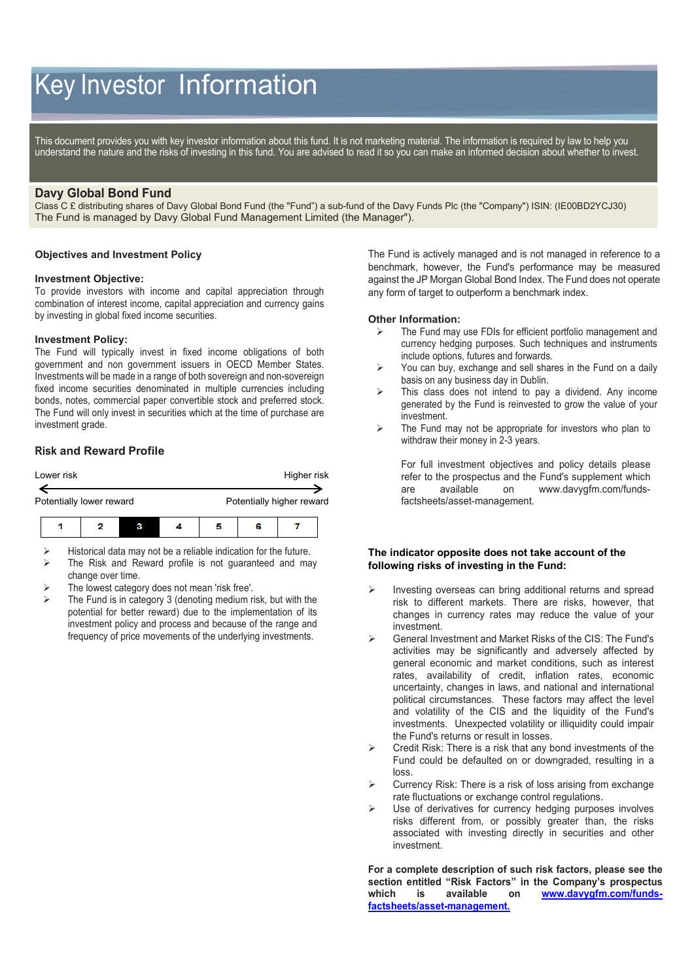# Key Investor Information

This document provides you with key investor information about this fund. It is not marketing material. The information is required by law to help you understand the nature and the risks of investing in this fund. You are advised to read it so you can make an informed decision about whether to invest.

# **Davy Global Bond Fund**

Class C £ distributing shares of Davy Global Bond Fund (the "Fund") a sub-fund of the Davy Funds Plc (the "Company") ISIN: (IE00BD2YCJ30) The Fund is managed by Davy Global Fund Management Limited (the Manager").

## **Objectives and Investment Policy**

#### **Investment Objective:**

To provide investors with income and capital appreciation through combination of interest income, capital appreciation and currency gains by investing in global fixed income securities.

#### **Investment Policy:**

The Fund will typically invest in fixed income obligations of both government and non government issuers in OECD Member States. Investments will be made in a range of both sovereign and non-sovereign fixed income securities denominated in multiple currencies including bonds, notes, commercial paper convertible stock and preferred stock. The Fund will only invest in securities which at the time of purchase are investment grade.

# **Risk and Reward Profile**



 Historical data may not be a reliable indication for the future.  $\triangleright$  The Risk and Reward profile is not guaranteed and may

- change over time. The lowest category does not mean 'risk free'.
- The Fund is in category 3 (denoting medium risk, but with the potential for better reward) due to the implementation of its investment policy and process and because of the range and frequency of price movements of the underlying investments.

The Fund is actively managed and is not managed in reference to a benchmark, however, the Fund's performance may be measured against the JP Morgan Global Bond Index. The Fund does not operate any form of target to outperform a benchmark index.

#### **Other Information:**

- The Fund may use FDIs for efficient portfolio management and currency hedging purposes. Such techniques and instruments include options, futures and forwards.
- $\triangleright$  You can buy, exchange and sell shares in the Fund on a daily basis on any business day in Dublin.
- $\triangleright$  This class does not intend to pay a dividend. Any income generated by the Fund is reinvested to grow the value of your investment.
- $\triangleright$  The Fund may not be appropriate for investors who plan to withdraw their money in 2-3 years.

For full investment objectives and policy details please refer to the prospectus and the Fund's supplement which are available on [www.davygfm.com/funds](http://www.davy.ie/)[factsheets/asset-management.](http://www.davy.ie/)

### **The indicator opposite does not take account of the following risks of investing in the Fund:**

- Investing overseas can bring additional returns and spread risk to different markets. There are risks, however, that changes in currency rates may reduce the value of your investment.
- General Investment and Market Risks of the CIS: The Fund's activities may be significantly and adversely affected by general economic and market conditions, such as interest rates, availability of credit, inflation rates, economic uncertainty, changes in laws, and national and international political circumstances. These factors may affect the level and volatility of the CIS and the liquidity of the Fund's investments. Unexpected volatility or illiquidity could impair the Fund's returns or result in losses.
- Credit Risk: There is a risk that any bond investments of the Fund could be defaulted on or downgraded, resulting in a loss.
- Currency Risk: There is a risk of loss arising from exchange rate fluctuations or exchange control regulations.
- Use of derivatives for currency hedging purposes involves risks different from, or possibly greater than, the risks associated with investing directly in securities and other investment.

**For a complete description of such risk factors, please see the section entitled "Risk Factors" in the Company's prospectus which is available on [www.davygfm.com/funds](http://www.davygfm.com/funds-factsheets/asset-management)[factsheets/asset-management.](http://www.davygfm.com/funds-factsheets/asset-management)**